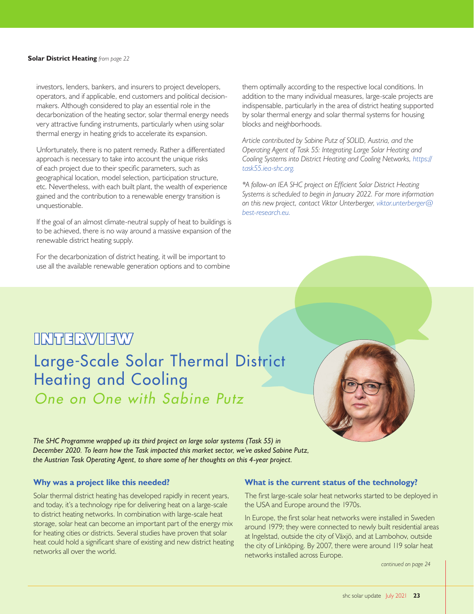# **INTERVIEW**

# *One on One with Sabine Putz* Large-Scale Solar Thermal District Heating and Cooling



*The SHC Programme wrapped up its third project on large solar systems (Task 55) in December 2020. To learn how the Task impacted this market sector, we've asked Sabine Putz, the Austrian Task Operating Agent, to share some of her thoughts on this 4-year project.* 

# **Why was a project like this needed?**

Solar thermal district heating has developed rapidly in recent years, and today, it's a technology ripe for delivering heat on a large-scale to district heating networks. In combination with large-scale heat storage, solar heat can become an important part of the energy mix for heating cities or districts. Several studies have proven that solar heat could hold a significant share of existing and new district heating networks all over the world.

#### **What is the current status of the technology?**

The first large-scale solar heat networks started to be deployed in the USA and Europe around the 1970s.

In Europe, the first solar heat networks were installed in Sweden around 1979; they were connected to newly built residential areas at Ingelstad, outside the city of Växjö, and at Lambohov, outside the city of Linköping. By 2007, there were around 119 solar heat networks installed across Europe.

*continued on page 24*